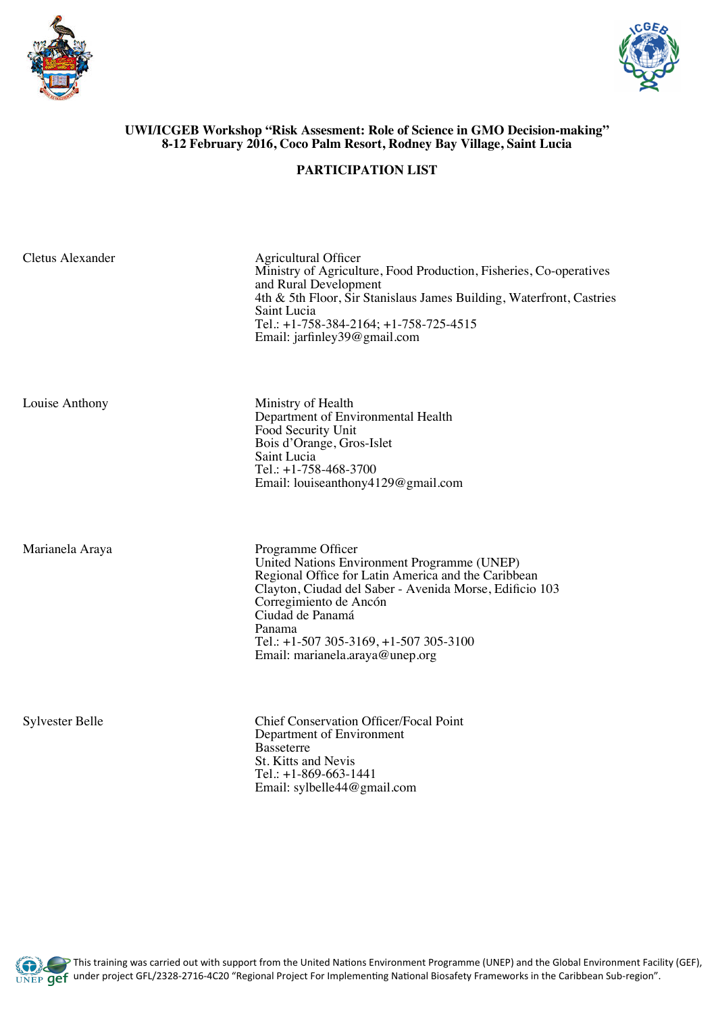



## **UWI/ICGEB Workshop "Risk Assesment: Role of Science in GMO Decision-making" 8-12 February 2016, Coco Palm Resort, Rodney Bay Village, Saint Lucia**

## **PARTICIPATION LIST**

Department of Environmental Health

Email: louiseanthony4129@gmail.com

Food Security Unit Bois d'Orange, Gros-Islet

Tel.: +1-758-468-3700

Saint Lucia

| Cletus Alexander |
|------------------|
|                  |

Agricultural Officer Ministry of Agriculture, Food Production, Fisheries, Co-operatives and Rural Development 4th & 5th Floor, Sir Stanislaus James Building, Waterfront, Castries Saint Lucia Tel.: +1-758-384-2164; +1-758-725-4515 Email: jarfinley39@gmail.com

Louise Anthony Ministry of Health

Marianela Araya Programme Officer United Nations Environment Programme (UNEP) Regional Office for Latin America and the Caribbean Clayton, Ciudad del Saber - Avenida Morse, Edificio 103 Corregimiento de Ancón Ciudad de Panamá Panama Tel.: +1-507 305-3169, +1-507 305-3100 Email: marianela.araya@unep.org

Sylvester Belle Chief Conservation Officer/Focal Point Department of Environment Basseterre St. Kitts and Nevis Tel.: +1-869-663-1441 Email: sylbelle44@gmail.com

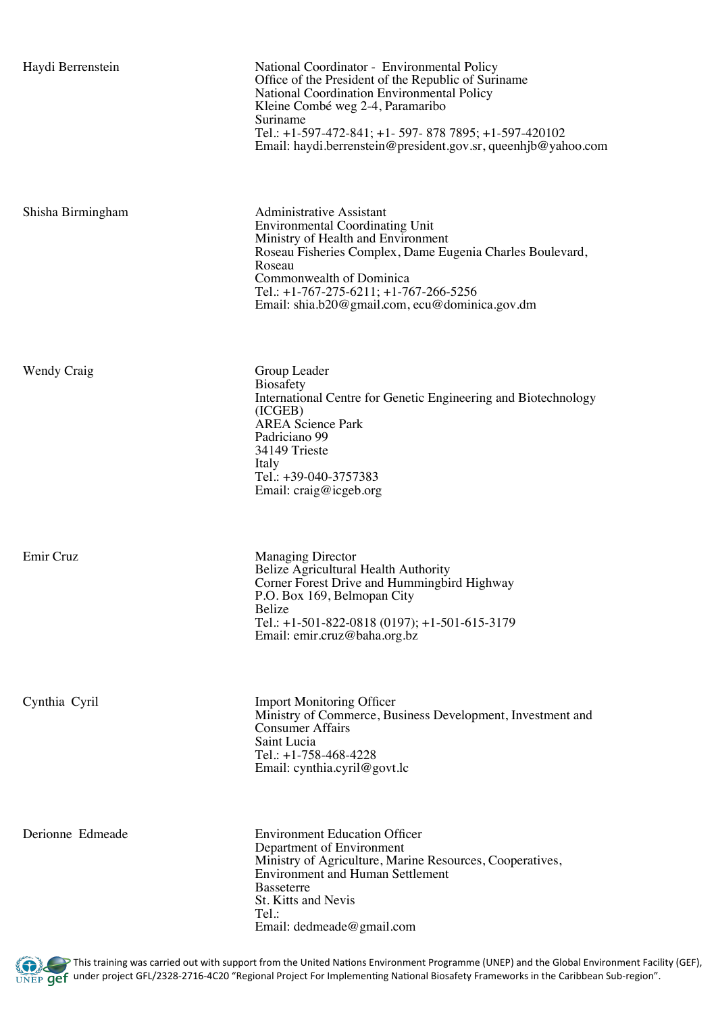| Haydi Berrenstein | National Coordinator - Environmental Policy<br>Office of the President of the Republic of Suriname<br>National Coordination Environmental Policy<br>Kleine Combé weg 2-4, Paramaribo<br>Suriname<br>Tel.: +1-597-472-841; +1- 597- 878 7895; +1-597-420102<br>Email: haydi.berrenstein@president.gov.sr, queenhjb@yahoo.com |
|-------------------|-----------------------------------------------------------------------------------------------------------------------------------------------------------------------------------------------------------------------------------------------------------------------------------------------------------------------------|
| Shisha Birmingham | <b>Administrative Assistant</b><br><b>Environmental Coordinating Unit</b><br>Ministry of Health and Environment<br>Roseau Fisheries Complex, Dame Eugenia Charles Boulevard,<br>Roseau<br>Commonwealth of Dominica<br>Tel.: $+1-767-275-6211$ ; $+1-767-266-5256$<br>Email: shia.b20@gmail.com, ecu@dominica.gov.dm         |
| Wendy Craig       | Group Leader<br><b>Biosafety</b><br>International Centre for Genetic Engineering and Biotechnology<br>(ICGEB)<br><b>AREA Science Park</b><br>Padriciano 99<br>34149 Trieste<br>Italy<br>Tel.: +39-040-3757383<br>Email: $craig@icgeb.org$                                                                                   |
| Emir Cruz         | <b>Managing Director</b><br>Belize Agricultural Health Authority<br>Corner Forest Drive and Hummingbird Highway<br>P.O. Box 169, Belmopan City<br>Belize<br>Tel.: +1-501-822-0818 (0197); +1-501-615-3179<br>Email: emir.cruz@baha.org.bz                                                                                   |
| Cynthia Cyril     | <b>Import Monitoring Officer</b><br>Ministry of Commerce, Business Development, Investment and<br><b>Consumer Affairs</b><br>Saint Lucia<br>Tel.: +1-758-468-4228<br>Email: cynthia.cyril@govt.lc                                                                                                                           |
| Derionne Edmeade  | <b>Environment Education Officer</b><br>Department of Environment<br>Ministry of Agriculture, Marine Resources, Cooperatives,<br><b>Environment and Human Settlement</b><br><b>Basseterre</b><br>St. Kitts and Nevis<br>Tel.:<br>Email: dedmeade@gmail.com                                                                  |

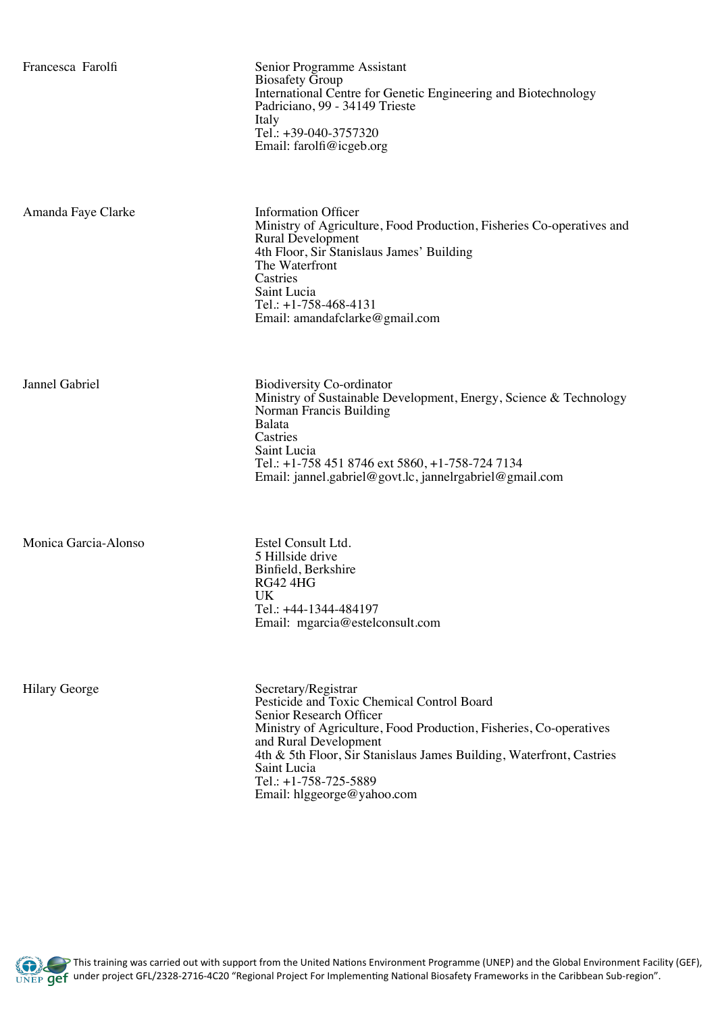Francesca Farolfi Senior Programme Assistant Biosafety Group International Centre for Genetic Engineering and Biotechnology Padriciano, 99 - 34149 Trieste Italy Tel.: +39-040-3757320 Email: farolfi@icgeb.org

Amanda Faye Clarke Information Officer

Ministry of Agriculture, Food Production, Fisheries Co-operatives and Rural Development 4th Floor, Sir Stanislaus James' Building The Waterfront **Castries** Saint Lucia Tel.: +1-758-468-4131 Email: amandafclarke@gmail.com

Jannel Gabriel Biodiversity Co-ordinator

Monica Garcia-Alonso Estel Consult Ltd.

Ministry of Sustainable Development, Energy, Science & Technology Norman Francis Building Balata **Castries** Saint Lucia Tel.: +1-758 451 8746 ext 5860, +1-758-724 7134 Email: jannel.gabriel@govt.lc, jannelrgabriel@gmail.com

5 Hillside drive Binfield, Berkshire RG42 4HG UK Tel.: +44-1344-484197 Email: mgarcia@estelconsult.com

Hilary George Secretary/Registrar Pesticide and Toxic Chemical Control Board Senior Research Officer Ministry of Agriculture, Food Production, Fisheries, Co-operatives and Rural Development 4th & 5th Floor, Sir Stanislaus James Building, Waterfront, Castries Saint Lucia Tel.: +1-758-725-5889 Email: hlggeorge@yahoo.com

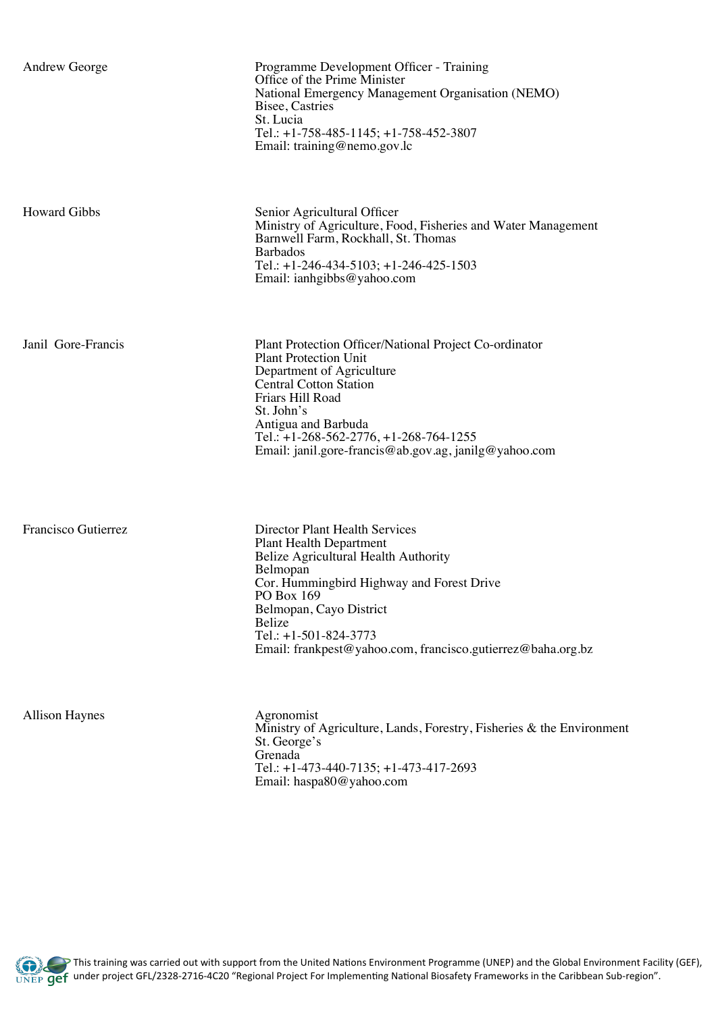| <b>Andrew George</b> | Programme Development Officer - Training<br>Office of the Prime Minister<br>National Emergency Management Organisation (NEMO)<br>Bisee, Castries<br>St. Lucia<br>Tel.: $+1-758-485-1145$ ; $+1-758-452-3807$<br>Email: training@nemo.gov.lc                                                                      |
|----------------------|------------------------------------------------------------------------------------------------------------------------------------------------------------------------------------------------------------------------------------------------------------------------------------------------------------------|
| <b>Howard Gibbs</b>  | Senior Agricultural Officer<br>Ministry of Agriculture, Food, Fisheries and Water Management<br>Barnwell Farm, Rockhall, St. Thomas<br><b>Barbados</b><br>Tel.: $+1-246-434-5103$ ; $+1-246-425-1503$<br>Email: ianhgibbs@yahoo.com                                                                              |
| Janil Gore-Francis   | Plant Protection Officer/National Project Co-ordinator<br><b>Plant Protection Unit</b><br>Department of Agriculture<br><b>Central Cotton Station</b><br>Friars Hill Road<br>St. John's<br>Antigua and Barbuda<br>Tel.: +1-268-562-2776, +1-268-764-1255<br>Email: janil.gore-francis@ab.gov.ag, janilg@yahoo.com |
| Francisco Gutierrez  | <b>Director Plant Health Services</b><br><b>Plant Health Department</b><br>Belize Agricultural Health Authority<br>Belmopan<br>Cor. Hummingbird Highway and Forest Drive<br>PO Box 169<br>Belmopan, Cayo District                                                                                                |

Belize

Tel.: +1-501-824-3773

Allison Haynes Agronomist

Ministry of Agriculture, Lands, Forestry, Fisheries & the Environment St. George's Grenada Tel.: +1-473-440-7135; +1-473-417-2693 Email: haspa80@yahoo.com

Email: frankpest@yahoo.com, francisco.gutierrez@baha.org.bz

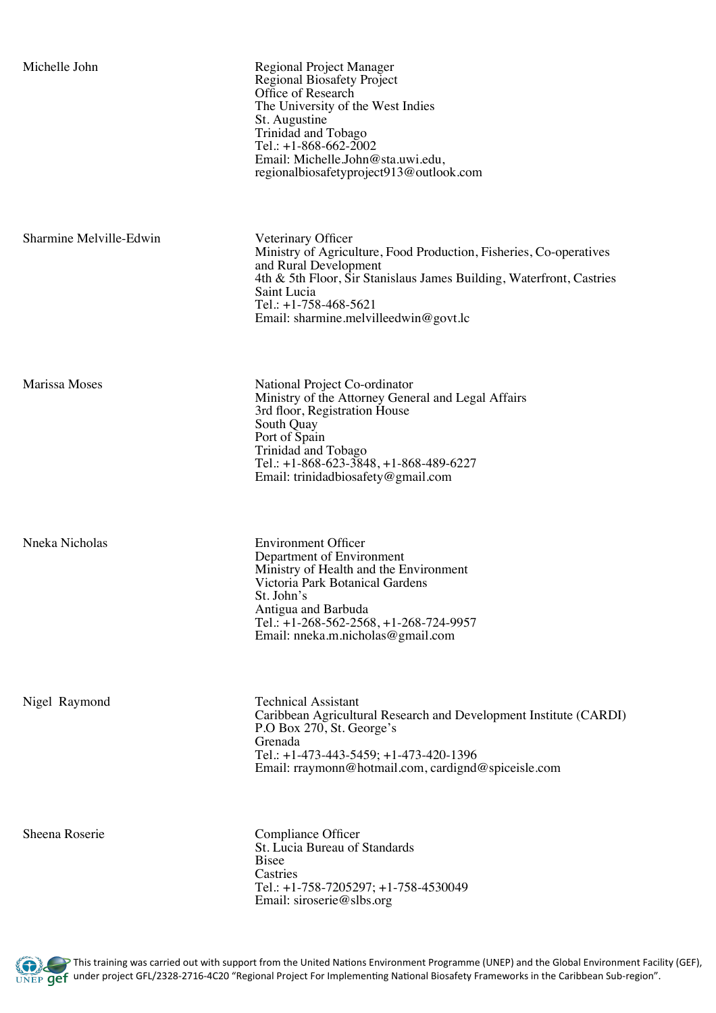| Michelle John           | Regional Project Manager<br><b>Regional Biosafety Project</b><br>Office of Research<br>The University of the West Indies<br>St. Augustine<br>Trinidad and Tobago<br>Tel.: $+1-868-662-2002$<br>Email: Michelle.John@sta.uwi.edu,<br>regionalbiosafetyproject913@outlook.com  |
|-------------------------|------------------------------------------------------------------------------------------------------------------------------------------------------------------------------------------------------------------------------------------------------------------------------|
| Sharmine Melville-Edwin | Veterinary Officer<br>Ministry of Agriculture, Food Production, Fisheries, Co-operatives<br>and Rural Development<br>4th & 5th Floor, Sir Stanislaus James Building, Waterfront, Castries<br>Saint Lucia<br>Tel.: $+1-758-468-5621$<br>Email: sharmine.melvilleedwin@govt.lc |
| Marissa Moses           | National Project Co-ordinator<br>Ministry of the Attorney General and Legal Affairs<br>3rd floor, Registration House<br>South Quay<br>Port of Spain<br>Trinidad and Tobago<br>Tel.: $+1-868-623-3848$ , $+1-868-489-6227$<br>Email: trinidadbiosafety@gmail.com              |
| Nneka Nicholas          | <b>Environment Officer</b><br>Department of Environment<br>Ministry of Health and the Environment<br>Victoria Park Botanical Gardens<br>St. John's<br>Antigua and Barbuda<br>Tel.: +1-268-562-2568, +1-268-724-9957<br>Email: nneka.m.nicholas@gmail.com                     |
| Nigel Raymond           | <b>Technical Assistant</b><br>Caribbean Agricultural Research and Development Institute (CARDI)<br>P.O Box 270, St. George's<br>Grenada<br>Tel.: $+1-473-443-5459$ ; $+1-473-420-1396$<br>Email: rraymonn@hotmail.com, cardignd@spiceisle.com                                |
| Sheena Roserie          | Compliance Officer<br>St. Lucia Bureau of Standards<br><b>Bisee</b><br>Castries<br>Tel.: $+1-758-7205297$ ; $+1-758-4530049$<br>Email: siroserie@slbs.org                                                                                                                    |